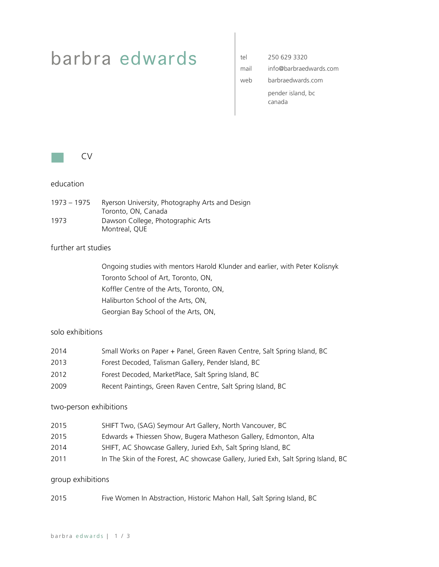# barbra edwards

| tel  | 250 629 3320                |
|------|-----------------------------|
| mail | info@barbraedwards.com      |
| web  | barbraedwards com           |
|      | pender island, bc<br>canada |



### education

1973 – 1975 Ryerson University, Photography Arts and Design Toronto, ON, Canada 1973 Dawson College, Photographic Arts Montreal, QUE

### further art studies

Ongoing studies with mentors Harold Klunder and earlier, with Peter Kolisnyk Toronto School of Art, Toronto, ON, Koffler Centre of the Arts, Toronto, ON, Haliburton School of the Arts, ON, Georgian Bay School of the Arts, ON,

### solo exhibitions

| 2014 | Small Works on Paper + Panel, Green Raven Centre, Salt Spring Island, BC |
|------|--------------------------------------------------------------------------|
| 2013 | Forest Decoded, Talisman Gallery, Pender Island, BC                      |
| 2012 | Forest Decoded, MarketPlace, Salt Spring Island, BC                      |

2009 Recent Paintings, Green Raven Centre, Salt Spring Island, BC

### two-person exhibitions

- 2015 SHIFT Two, (SAG) Seymour Art Gallery, North Vancouver, BC
- 2015 Edwards + Thiessen Show, Bugera Matheson Gallery, Edmonton, Alta
- 2014 SHIFT, AC Showcase Gallery, Juried Exh, Salt Spring Island, BC
- 2011 In The Skin of the Forest, AC showcase Gallery, Juried Exh, Salt Spring Island, BC

### group exhibitions

2015 Five Women In Abstraction, Historic Mahon Hall, Salt Spring Island, BC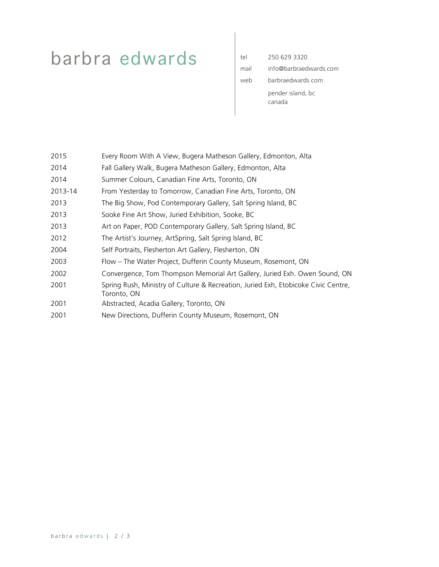# barbra edwards

| tel  | 250 629 3320                |
|------|-----------------------------|
| mail | info@barbraedwards.com      |
| web  | barbraedwards com           |
|      | pender island, bc<br>canada |

| 2015 |  | Every Room With A View, Bugera Matheson Gallery, Edmonton, Alta |  |  |
|------|--|-----------------------------------------------------------------|--|--|
|------|--|-----------------------------------------------------------------|--|--|

- 2014 Fall Gallery Walk, Bugera Matheson Gallery, Edmonton, Alta
- 2014 Summer Colours, Canadian Fine Arts, Toronto, ON
- 2013-14 From Yesterday to Tomorrow, Canadian Fine Arts, Toronto, ON
- 2013 The Big Show, Pod Contemporary Gallery, Salt Spring Island, BC
- 2013 Sooke Fine Art Show, Juried Exhibition, Sooke, BC
- 2013 Art on Paper, POD Contemporary Gallery, Salt Spring Island, BC
- 2012 The Artist's Journey, ArtSpring, Salt Spring Island, BC
- 2004 Self Portraits, Flesherton Art Gallery, Flesherton, ON
- 2003 Flow The Water Project, Dufferin County Museum, Rosemont, ON
- 2002 Convergence, Tom Thompson Memorial Art Gallery, Juried Exh. Owen Sound, ON
- 2001 Spring Rush, Ministry of Culture & Recreation, Juried Exh, Etobicoke Civic Centre, Toronto, ON
- 2001 Abstracted, Acadia Gallery, Toronto, ON
- 2001 New Directions, Dufferin County Museum, Rosemont, ON